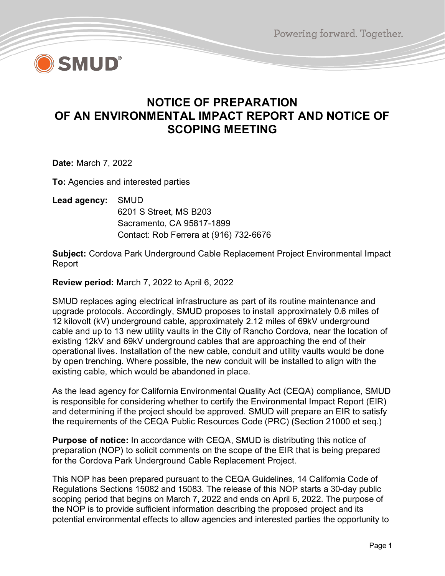Powering forward. Together.



## **NOTICE OF PREPARATION OF AN ENVIRONMENTAL IMPACT REPORT AND NOTICE OF SCOPING MEETING**

**Date:** March 7, 2022

**To:** Agencies and interested parties

**Lead agency:** SMUD

6201 S Street, MS B203 Sacramento, CA 95817-1899 Contact: Rob Ferrera at (916) 732-6676

**Subject:** Cordova Park Underground Cable Replacement Project Environmental Impact Report

**Review period:** March 7, 2022 to April 6, 2022

SMUD replaces aging electrical infrastructure as part of its routine maintenance and upgrade protocols. Accordingly, SMUD proposes to install approximately 0.6 miles of 12 kilovolt (kV) underground cable, approximately 2.12 miles of 69kV underground cable and up to 13 new utility vaults in the City of Rancho Cordova, near the location of existing 12kV and 69kV underground cables that are approaching the end of their operational lives. Installation of the new cable, conduit and utility vaults would be done by open trenching. Where possible, the new conduit will be installed to align with the existing cable, which would be abandoned in place.

As the lead agency for California Environmental Quality Act (CEQA) compliance, SMUD is responsible for considering whether to certify the Environmental Impact Report (EIR) and determining if the project should be approved. SMUD will prepare an EIR to satisfy the requirements of the CEQA Public Resources Code (PRC) (Section 21000 et seq.)

**Purpose of notice:** In accordance with CEQA, SMUD is distributing this notice of preparation (NOP) to solicit comments on the scope of the EIR that is being prepared for the Cordova Park Underground Cable Replacement Project.

This NOP has been prepared pursuant to the CEQA Guidelines, 14 California Code of Regulations Sections 15082 and 15083. The release of this NOP starts a 30-day public scoping period that begins on March 7, 2022 and ends on April 6, 2022. The purpose of the NOP is to provide sufficient information describing the proposed project and its potential environmental effects to allow agencies and interested parties the opportunity to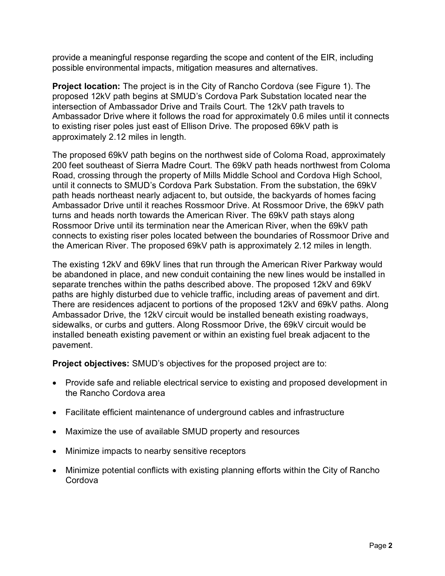provide a meaningful response regarding the scope and content of the EIR, including possible environmental impacts, mitigation measures and alternatives.

**Project location:** The project is in the City of Rancho Cordova (see Figure 1). The proposed 12kV path begins at SMUD's Cordova Park Substation located near the intersection of Ambassador Drive and Trails Court. The 12kV path travels to Ambassador Drive where it follows the road for approximately 0.6 miles until it connects to existing riser poles just east of Ellison Drive. The proposed 69kV path is approximately 2.12 miles in length.

The proposed 69kV path begins on the northwest side of Coloma Road, approximately 200 feet southeast of Sierra Madre Court. The 69kV path heads northwest from Coloma Road, crossing through the property of Mills Middle School and Cordova High School, until it connects to SMUD's Cordova Park Substation. From the substation, the 69kV path heads northeast nearly adjacent to, but outside, the backyards of homes facing Ambassador Drive until it reaches Rossmoor Drive. At Rossmoor Drive, the 69kV path turns and heads north towards the American River. The 69kV path stays along Rossmoor Drive until its termination near the American River, when the 69kV path connects to existing riser poles located between the boundaries of Rossmoor Drive and the American River. The proposed 69kV path is approximately 2.12 miles in length.

The existing 12kV and 69kV lines that run through the American River Parkway would be abandoned in place, and new conduit containing the new lines would be installed in separate trenches within the paths described above. The proposed 12kV and 69kV paths are highly disturbed due to vehicle traffic, including areas of pavement and dirt. There are residences adjacent to portions of the proposed 12kV and 69kV paths. Along Ambassador Drive, the 12kV circuit would be installed beneath existing roadways, sidewalks, or curbs and gutters. Along Rossmoor Drive, the 69kV circuit would be installed beneath existing pavement or within an existing fuel break adjacent to the pavement.

**Project objectives:** SMUD's objectives for the proposed project are to:

- Provide safe and reliable electrical service to existing and proposed development in the Rancho Cordova area
- Facilitate efficient maintenance of underground cables and infrastructure
- Maximize the use of available SMUD property and resources
- Minimize impacts to nearby sensitive receptors
- Minimize potential conflicts with existing planning efforts within the City of Rancho Cordova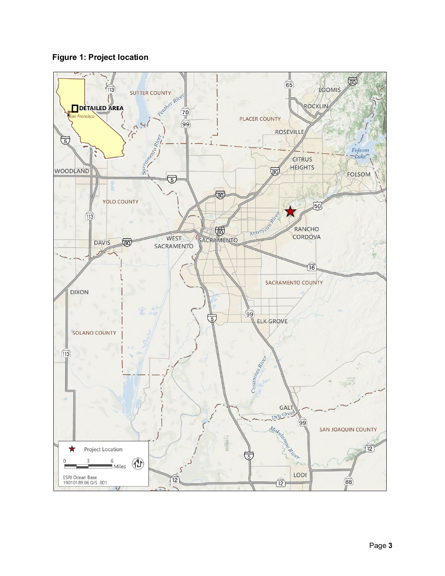

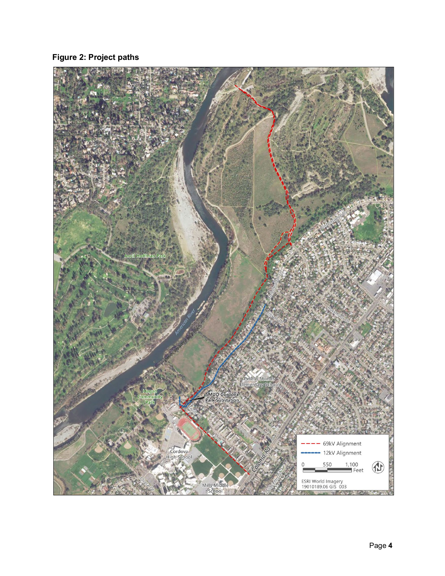**Figure 2: Project paths**

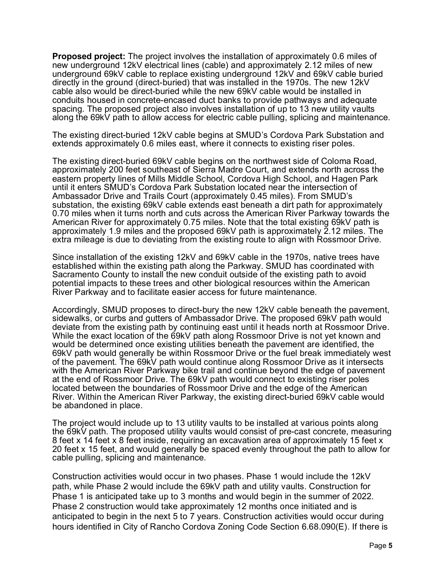**Proposed project:** The project involves the installation of approximately 0.6 miles of new underground 12kV electrical lines (cable) and approximately 2.12 miles of new underground 69kV cable to replace existing underground 12kV and 69kV cable buried directly in the ground (direct-buried) that was installed in the 1970s. The new 12kV cable also would be direct-buried while the new 69kV cable would be installed in conduits housed in concrete-encased duct banks to provide pathways and adequate spacing. The proposed project also involves installation of up to 13 new utility vaults along the 69kV path to allow access for electric cable pulling, splicing and maintenance.

The existing direct-buried 12kV cable begins at SMUD's Cordova Park Substation and extends approximately 0.6 miles east, where it connects to existing riser poles.

The existing direct-buried 69kV cable begins on the northwest side of Coloma Road, approximately 200 feet southeast of Sierra Madre Court, and extends north across the eastern property lines of Mills Middle School, Cordova High School, and Hagen Park until it enters SMUD's Cordova Park Substation located near the intersection of Ambassador Drive and Trails Court (approximately 0.45 miles). From SMUD's substation, the existing 69kV cable extends east beneath a dirt path for approximately 0.70 miles when it turns north and cuts across the American River Parkway towards the American River for approximately 0.75 miles. Note that the total existing 69kV path is approximately 1.9 miles and the proposed 69kV path is approximately 2.12 miles. The extra mileage is due to deviating from the existing route to align with Rossmoor Drive.

Since installation of the existing 12kV and 69kV cable in the 1970s, native trees have established within the existing path along the Parkway. SMUD has coordinated with Sacramento County to install the new conduit outside of the existing path to avoid potential impacts to these trees and other biological resources within the American River Parkway and to facilitate easier access for future maintenance.

Accordingly, SMUD proposes to direct-bury the new 12kV cable beneath the pavement, sidewalks, or curbs and gutters of Ambassador Drive. The proposed 69kV path would deviate from the existing path by continuing east until it heads north at Rossmoor Drive. While the exact location of the 69kV path along Rossmoor Drive is not yet known and would be determined once existing utilities beneath the pavement are identified, the 69kV path would generally be within Rossmoor Drive or the fuel break immediately west of the pavement. The 69kV path would continue along Rossmoor Drive as it intersects with the American River Parkway bike trail and continue beyond the edge of pavement at the end of Rossmoor Drive. The 69kV path would connect to existing riser poles located between the boundaries of Rossmoor Drive and the edge of the American River. Within the American River Parkway, the existing direct-buried 69kV cable would be abandoned in place.

The project would include up to 13 utility vaults to be installed at various points along the 69kV path. The proposed utility vaults would consist of pre-cast concrete, measuring 8 feet x 14 feet x 8 feet inside, requiring an excavation area of approximately 15 feet x 20 feet x 15 feet, and would generally be spaced evenly throughout the path to allow for cable pulling, splicing and maintenance.

Construction activities would occur in two phases. Phase 1 would include the 12kV path, while Phase 2 would include the 69kV path and utility vaults. Construction for Phase 1 is anticipated take up to 3 months and would begin in the summer of 2022. Phase 2 construction would take approximately 12 months once initiated and is anticipated to begin in the next 5 to 7 years. Construction activities would occur during hours identified in City of Rancho Cordova Zoning Code Section 6.68.090(E). If there is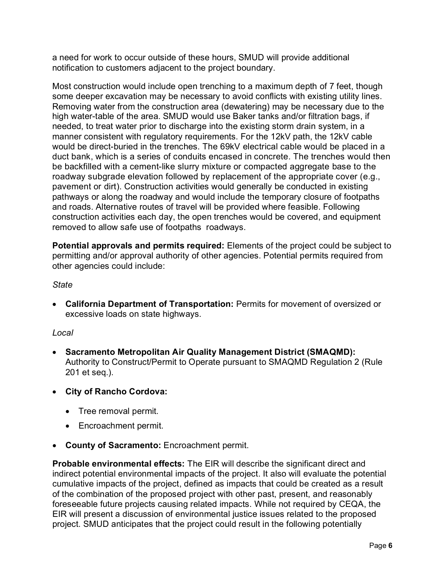a need for work to occur outside of these hours, SMUD will provide additional notification to customers adjacent to the project boundary.

Most construction would include open trenching to a maximum depth of 7 feet, though some deeper excavation may be necessary to avoid conflicts with existing utility lines. Removing water from the construction area (dewatering) may be necessary due to the high water-table of the area. SMUD would use Baker tanks and/or filtration bags, if needed, to treat water prior to discharge into the existing storm drain system, in a manner consistent with regulatory requirements. For the 12kV path, the 12kV cable would be direct-buried in the trenches. The 69kV electrical cable would be placed in a duct bank, which is a series of conduits encased in concrete. The trenches would then be backfilled with a cement-like slurry mixture or compacted aggregate base to the roadway subgrade elevation followed by replacement of the appropriate cover (e.g., pavement or dirt). Construction activities would generally be conducted in existing pathways or along the roadway and would include the temporary closure of footpaths and roads. Alternative routes of travel will be provided where feasible. Following construction activities each day, the open trenches would be covered, and equipment removed to allow safe use of footpaths roadways.

**Potential approvals and permits required:** Elements of the project could be subject to permitting and/or approval authority of other agencies. Potential permits required from other agencies could include:

## *State*

• **California Department of Transportation:** Permits for movement of oversized or excessive loads on state highways.

## *Local*

- **Sacramento Metropolitan Air Quality Management District (SMAQMD):** Authority to Construct/Permit to Operate pursuant to SMAQMD Regulation 2 (Rule 201 et seq.).
- **City of Rancho Cordova:**
	- Tree removal permit.
	- Encroachment permit.
- **County of Sacramento:** Encroachment permit.

**Probable environmental effects:** The EIR will describe the significant direct and indirect potential environmental impacts of the project. It also will evaluate the potential cumulative impacts of the project, defined as impacts that could be created as a result of the combination of the proposed project with other past, present, and reasonably foreseeable future projects causing related impacts. While not required by CEQA, the EIR will present a discussion of environmental justice issues related to the proposed project. SMUD anticipates that the project could result in the following potentially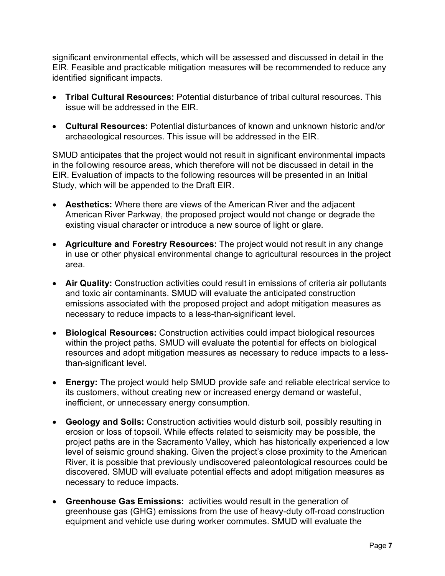significant environmental effects, which will be assessed and discussed in detail in the EIR. Feasible and practicable mitigation measures will be recommended to reduce any identified significant impacts.

- **Tribal Cultural Resources:** Potential disturbance of tribal cultural resources. This issue will be addressed in the EIR.
- **Cultural Resources:** Potential disturbances of known and unknown historic and/or archaeological resources. This issue will be addressed in the EIR.

SMUD anticipates that the project would not result in significant environmental impacts in the following resource areas, which therefore will not be discussed in detail in the EIR. Evaluation of impacts to the following resources will be presented in an Initial Study, which will be appended to the Draft EIR.

- **Aesthetics:** Where there are views of the American River and the adjacent American River Parkway, the proposed project would not change or degrade the existing visual character or introduce a new source of light or glare.
- **Agriculture and Forestry Resources:** The project would not result in any change in use or other physical environmental change to agricultural resources in the project area.
- **Air Quality:** Construction activities could result in emissions of criteria air pollutants and toxic air contaminants. SMUD will evaluate the anticipated construction emissions associated with the proposed project and adopt mitigation measures as necessary to reduce impacts to a less-than-significant level.
- **Biological Resources:** Construction activities could impact biological resources within the project paths. SMUD will evaluate the potential for effects on biological resources and adopt mitigation measures as necessary to reduce impacts to a lessthan-significant level.
- **Energy:** The project would help SMUD provide safe and reliable electrical service to its customers, without creating new or increased energy demand or wasteful, inefficient, or unnecessary energy consumption.
- **Geology and Soils:** Construction activities would disturb soil, possibly resulting in erosion or loss of topsoil. While effects related to seismicity may be possible, the project paths are in the Sacramento Valley, which has historically experienced a low level of seismic ground shaking. Given the project's close proximity to the American River, it is possible that previously undiscovered paleontological resources could be discovered. SMUD will evaluate potential effects and adopt mitigation measures as necessary to reduce impacts.
- **Greenhouse Gas Emissions:** activities would result in the generation of greenhouse gas (GHG) emissions from the use of heavy-duty off-road construction equipment and vehicle use during worker commutes. SMUD will evaluate the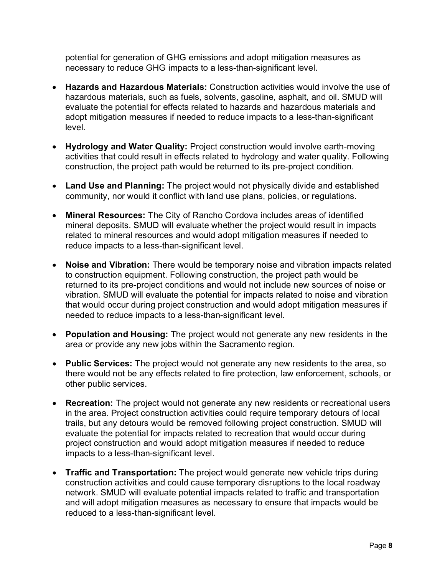potential for generation of GHG emissions and adopt mitigation measures as necessary to reduce GHG impacts to a less-than-significant level.

- **Hazards and Hazardous Materials:** Construction activities would involve the use of hazardous materials, such as fuels, solvents, gasoline, asphalt, and oil. SMUD will evaluate the potential for effects related to hazards and hazardous materials and adopt mitigation measures if needed to reduce impacts to a less-than-significant level.
- **Hydrology and Water Quality:** Project construction would involve earth-moving activities that could result in effects related to hydrology and water quality. Following construction, the project path would be returned to its pre-project condition.
- **Land Use and Planning:** The project would not physically divide and established community, nor would it conflict with land use plans, policies, or regulations.
- **Mineral Resources:** The City of Rancho Cordova includes areas of identified mineral deposits. SMUD will evaluate whether the project would result in impacts related to mineral resources and would adopt mitigation measures if needed to reduce impacts to a less-than-significant level.
- **Noise and Vibration:** There would be temporary noise and vibration impacts related to construction equipment. Following construction, the project path would be returned to its pre-project conditions and would not include new sources of noise or vibration. SMUD will evaluate the potential for impacts related to noise and vibration that would occur during project construction and would adopt mitigation measures if needed to reduce impacts to a less-than-significant level.
- **Population and Housing:** The project would not generate any new residents in the area or provide any new jobs within the Sacramento region.
- **Public Services:** The project would not generate any new residents to the area, so there would not be any effects related to fire protection, law enforcement, schools, or other public services.
- **Recreation:** The project would not generate any new residents or recreational users in the area. Project construction activities could require temporary detours of local trails, but any detours would be removed following project construction. SMUD will evaluate the potential for impacts related to recreation that would occur during project construction and would adopt mitigation measures if needed to reduce impacts to a less-than-significant level.
- **Traffic and Transportation:** The project would generate new vehicle trips during construction activities and could cause temporary disruptions to the local roadway network. SMUD will evaluate potential impacts related to traffic and transportation and will adopt mitigation measures as necessary to ensure that impacts would be reduced to a less-than-significant level.